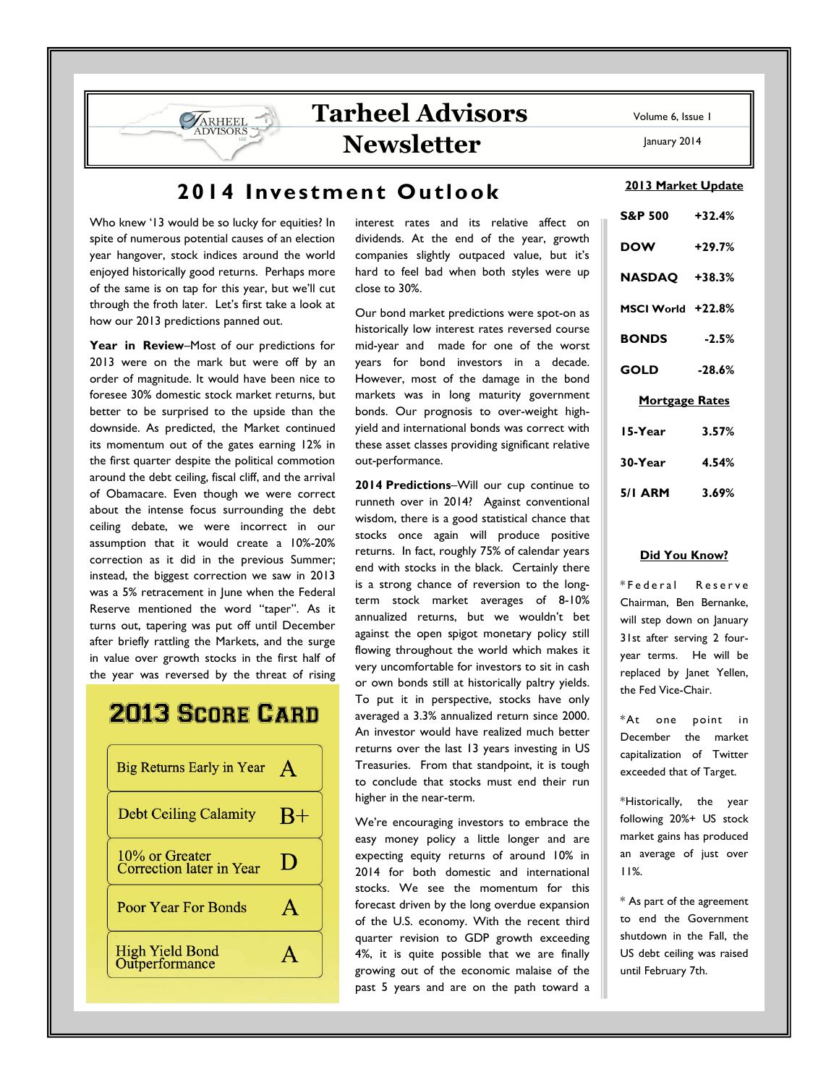# Tarheel Advisors Newsletter

Who knew '13 would be so lucky for equities? In spite of numerous potential causes of an election year hangover, stock indices around the world enjoyed historically good returns. Perhaps more of the same is on tap for this year, but we'll cut through the froth later. Let's first take a look at how our 2013 predictions panned out.

ARHEEL

Year in Review-Most of our predictions for 2013 were on the mark but were off by an order of magnitude. It would have been nice to foresee 30% domestic stock market returns, but better to be surprised to the upside than the downside. As predicted, the Market continued its momentum out of the gates earning 12% in the first quarter despite the political commotion around the debt ceiling, fiscal cliff, and the arrival of Obamacare. Even though we were correct about the intense focus surrounding the debt ceiling debate, we were incorrect in our assumption that it would create a 10%-20% correction as it did in the previous Summer; instead, the biggest correction we saw in 2013 was a 5% retracement in June when the Federal Reserve mentioned the word "taper". As it turns out, tapering was put off until December after briefly rattling the Markets, and the surge in value over growth stocks in the first half of the year was reversed by the threat of rising

# **2013 SCORE CARD**



interest rates and its relative affect on dividends. At the end of the year, growth companies slightly outpaced value, but it's hard to feel bad when both styles were up close to 30%.

Our bond market predictions were spot-on as historically low interest rates reversed course mid-year and made for one of the worst years for bond investors in a decade. However, most of the damage in the bond markets was in long maturity government bonds. Our prognosis to over-weight highyield and international bonds was correct with these asset classes providing significant relative out-performance.

2014 Predictions–Will our cup continue to runneth over in 2014? Against conventional wisdom, there is a good statistical chance that stocks once again will produce positive returns. In fact, roughly 75% of calendar years end with stocks in the black. Certainly there is a strong chance of reversion to the longterm stock market averages of 8-10% annualized returns, but we wouldn't bet against the open spigot monetary policy still flowing throughout the world which makes it very uncomfortable for investors to sit in cash or own bonds still at historically paltry yields. To put it in perspective, stocks have only averaged a 3.3% annualized return since 2000. An investor would have realized much better returns over the last 13 years investing in US Treasuries. From that standpoint, it is tough to conclude that stocks must end their run higher in the near-term.

We're encouraging investors to embrace the easy money policy a little longer and are expecting equity returns of around 10% in 2014 for both domestic and international stocks. We see the momentum for this forecast driven by the long overdue expansion of the U.S. economy. With the recent third quarter revision to GDP growth exceeding 4%, it is quite possible that we are finally growing out of the economic malaise of the past 5 years and are on the path toward a

Volume 6, Issue 1

January 2014

### 2013 Market Update

| S&P 500 +32.4%        |          |
|-----------------------|----------|
| <b>DOW</b>            | $+29.7%$ |
| <b>NASDAQ +38.3%</b>  |          |
| MSCI World +22.8%     |          |
| <b>BONDS</b>          | $-2.5%$  |
| GOLD                  | $-28.6%$ |
| <b>Mortgage Rates</b> |          |
| 15-Year               | 3.57%    |
| 30-Year               | 4.54%    |
| 5/I ARM               | 3.69%    |

#### Did You Know?

\* F e d e r a l R e s e r v e Chairman, Ben Bernanke, will step down on January 31st after serving 2 fouryear terms. He will be replaced by Janet Yellen, the Fed Vice-Chair.

\*At one point in December the market capitalization of Twitter exceeded that of Target.

\*Historically, the year following 20%+ US stock market gains has produced an average of just over 11%.

\* As part of the agreement to end the Government shutdown in the Fall, the US debt ceiling was raised until February 7th.